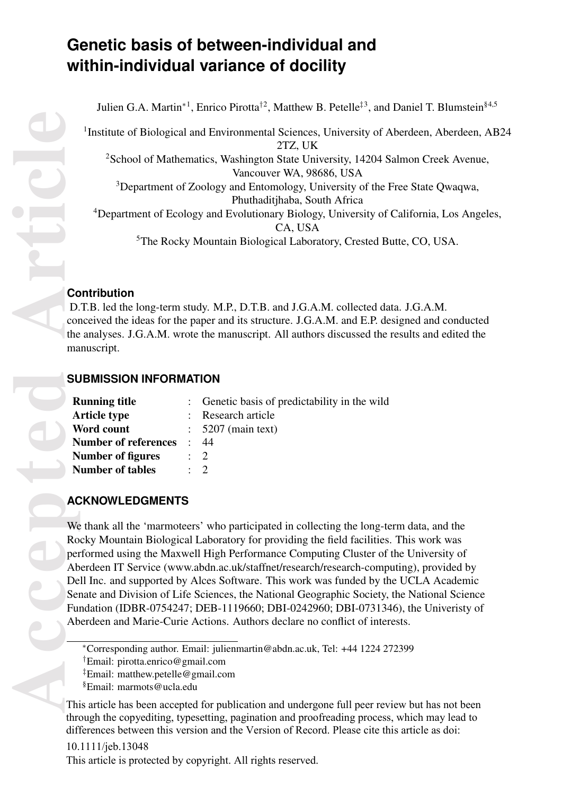# **Genetic basis of between-individual and within-individual variance of docility**

Julien G.A. Martin<sup>\*1</sup>, Enrico Pirotta<sup>†2</sup>, Matthew B. Petelle<sup>‡3</sup>, and Daniel T. Blumstein<sup>§4,5</sup>

<sup>1</sup>Institute of Biological and Environmental Sciences, University of Aberdeen, Aberdeen, AB24 2TZ, UK

<sup>2</sup>School of Mathematics, Washington State University, 14204 Salmon Creek Avenue, Vancouver WA, 98686, USA

<sup>3</sup>Department of Zoology and Entomology, University of the Free State Qwaqwa, Phuthaditjhaba, South Africa

<sup>4</sup>Department of Ecology and Evolutionary Biology, University of California, Los Angeles, CA, USA

<sup>5</sup>The Rocky Mountain Biological Laboratory, Crested Butte, CO, USA.

### **Contribution**

D.T.B. led the long-term study. M.P., D.T.B. and J.G.A.M. collected data. J.G.A.M. conceived the ideas for the paper and its structure. J.G.A.M. and E.P. designed and conducted the analyses. J.G.A.M. wrote the manuscript. All authors discussed the results and edited the manuscript.

# **SUBMISSION INFORMATION**

| <b>Running title</b>        |           | : Genetic basis of predictability in the wild |  |
|-----------------------------|-----------|-----------------------------------------------|--|
| <b>Article type</b>         |           | : Research article                            |  |
| Word count                  |           | $\therefore$ 5207 (main text)                 |  |
| <b>Number of references</b> | $\bullet$ | -44                                           |  |
| Number of figures           |           | $\therefore$ 2                                |  |
| <b>Number of tables</b>     |           | $\cdot$ 2                                     |  |

# **ACKNOWLEDGMENTS**

We thank all the 'marmoteers' who participated in collecting the long-term data, and the Rocky Mountain Biological Laboratory for providing the field facilities. This work was performed using the Maxwell High Performance Computing Cluster of the University of Aberdeen IT Service (www.abdn.ac.uk/staffnet/research/research-computing), provided by Dell Inc. and supported by Alces Software. This work was funded by the UCLA Academic Senate and Division of Life Sciences, the National Geographic Society, the National Science Fundation (IDBR-0754247; DEB-1119660; DBI-0242960; DBI-0731346), the Univeristy of Aberdeen and Marie-Curie Actions. Authors declare no conflict of interests.

This article has been accepted for publication and undergone full peer review but has not been through the copyediting, typesetting, pagination and proofreading process, which may lead to differences between this version and the Version of Record. Please cite this article as doi:

# 10.1111/jeb.13048 This article is protected by copyright. All rights reserved.

<sup>∗</sup>Corresponding author. Email: julienmartin@abdn.ac.uk, Tel: +44 1224 272399

<sup>†</sup>Email: pirotta.enrico@gmail.com

<sup>‡</sup>Email: matthew.petelle@gmail.com

<sup>§</sup>Email: marmots@ucla.edu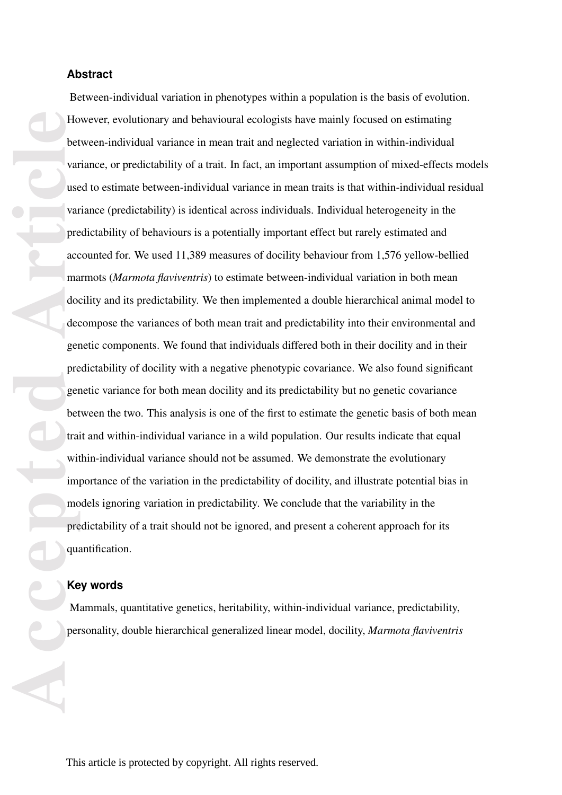#### **Abstract**

**Accepted Article** Between-individual variation in phenotypes within a population is the basis of evolution. However, evolutionary and behavioural ecologists have mainly focused on estimating between-individual variance in mean trait and neglected variation in within-individual variance, or predictability of a trait. In fact, an important assumption of mixed-effects models used to estimate between-individual variance in mean traits is that within-individual residual variance (predictability) is identical across individuals. Individual heterogeneity in the predictability of behaviours is a potentially important effect but rarely estimated and accounted for. We used 11,389 measures of docility behaviour from 1,576 yellow-bellied marmots (*Marmota flaviventris*) to estimate between-individual variation in both mean docility and its predictability. We then implemented a double hierarchical animal model to decompose the variances of both mean trait and predictability into their environmental and genetic components. We found that individuals differed both in their docility and in their predictability of docility with a negative phenotypic covariance. We also found significant genetic variance for both mean docility and its predictability but no genetic covariance between the two. This analysis is one of the first to estimate the genetic basis of both mean trait and within-individual variance in a wild population. Our results indicate that equal within-individual variance should not be assumed. We demonstrate the evolutionary importance of the variation in the predictability of docility, and illustrate potential bias in models ignoring variation in predictability. We conclude that the variability in the predictability of a trait should not be ignored, and present a coherent approach for its quantification.

#### **Key words**

Mammals, quantitative genetics, heritability, within-individual variance, predictability, personality, double hierarchical generalized linear model, docility, *Marmota flaviventris*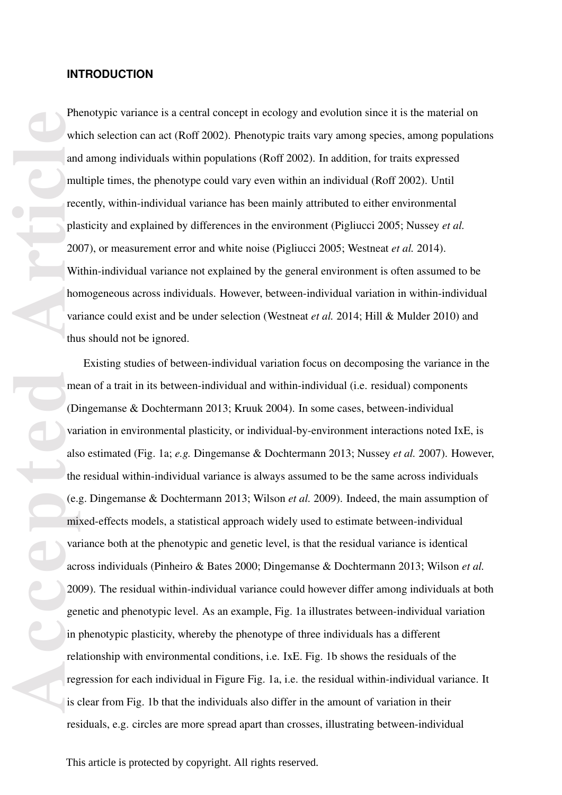#### **INTRODUCTION**

Phenotypic variance is a central concept in ecology and evolution since it is the material on which selection can act (Roff 2002). Phenotypic traits vary among species, among populations and among individuals within populations (Roff 2002). In addition, for traits expressed multiple times, the phenotype could vary even within an individual (Roff 2002). Until recently, within-individual variance has been mainly attributed to either environmental plasticity and explained by differences in the environment (Pigliucci 2005; Nussey *et al.* 2007), or measurement error and white noise (Pigliucci 2005; Westneat *et al.* 2014). Within-individual variance not explained by the general environment is often assumed to be homogeneous across individuals. However, between-individual variation in within-individual variance could exist and be under selection (Westneat *et al.* 2014; Hill & Mulder 2010) and thus should not be ignored.

**Private**<br>
wh and<br>
mu rec pla<br>
200<br>
Wi hou var thu me<br>
(Di var thu me<br>
(Di var thu me<br>
(Di var als<br>
the (e.<sub>3</sub><br>
mi var als<br>
the (e.<sub>3</sub><br>
mi var als<br>
the (e.<sub>3</sub><br>
mi var als<br>
the (e.<sub>3</sub><br>
mi var als<br>
the (e.3<br>
mi var als<br>
the Existing studies of between-individual variation focus on decomposing the variance in the mean of a trait in its between-individual and within-individual (i.e. residual) components (Dingemanse & Dochtermann 2013; Kruuk 2004). In some cases, between-individual variation in environmental plasticity, or individual-by-environment interactions noted IxE, is also estimated (Fig. 1a; *e.g.* Dingemanse & Dochtermann 2013; Nussey *et al.* 2007). However, the residual within-individual variance is always assumed to be the same across individuals (e.g. Dingemanse & Dochtermann 2013; Wilson *et al.* 2009). Indeed, the main assumption of mixed-effects models, a statistical approach widely used to estimate between-individual variance both at the phenotypic and genetic level, is that the residual variance is identical across individuals (Pinheiro & Bates 2000; Dingemanse & Dochtermann 2013; Wilson *et al.* 2009). The residual within-individual variance could however differ among individuals at both genetic and phenotypic level. As an example, Fig. 1a illustrates between-individual variation in phenotypic plasticity, whereby the phenotype of three individuals has a different relationship with environmental conditions, i.e. IxE. Fig. 1b shows the residuals of the regression for each individual in Figure Fig. 1a, i.e. the residual within-individual variance. It is clear from Fig. 1b that the individuals also differ in the amount of variation in their residuals, e.g. circles are more spread apart than crosses, illustrating between-individual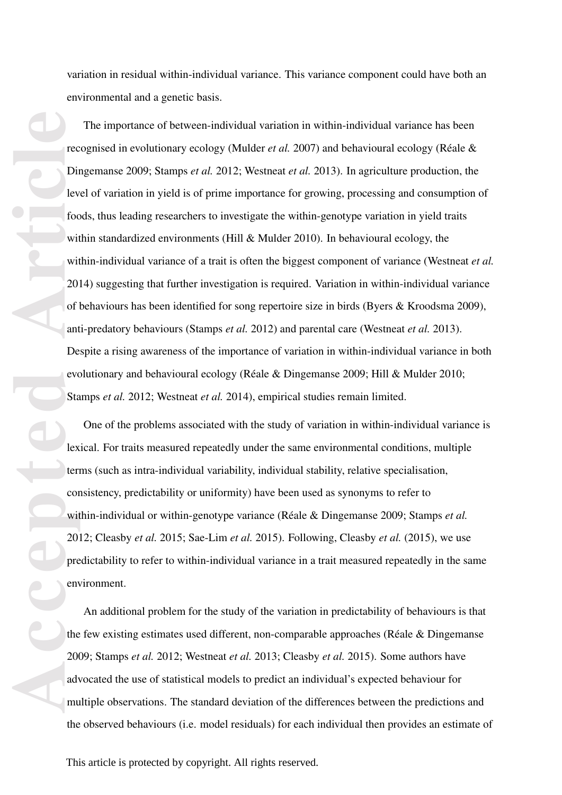variation in residual within-individual variance. This variance component could have both an environmental and a genetic basis.

**Procession**<br> **Accepted Article**<br> **Accepted Article**<br> **Accepted Article**<br> **Article**<br> **Article**<br> **Article**<br> **Article**<br> **Article**<br> **Article**<br> **Article**<br> **Article**<br> **Article**<br> **Article**<br> **Article**<br> **Article**<br> **Article**<br> The importance of between-individual variation in within-individual variance has been recognised in evolutionary ecology (Mulder *et al.* 2007) and behavioural ecology (Réale & Dingemanse 2009; Stamps *et al.* 2012; Westneat *et al.* 2013). In agriculture production, the level of variation in yield is of prime importance for growing, processing and consumption of foods, thus leading researchers to investigate the within-genotype variation in yield traits within standardized environments (Hill & Mulder 2010). In behavioural ecology, the within-individual variance of a trait is often the biggest component of variance (Westneat *et al.* 2014) suggesting that further investigation is required. Variation in within-individual variance of behaviours has been identified for song repertoire size in birds (Byers & Kroodsma 2009), anti-predatory behaviours (Stamps *et al.* 2012) and parental care (Westneat *et al.* 2013). Despite a rising awareness of the importance of variation in within-individual variance in both evolutionary and behavioural ecology (Réale & Dingemanse 2009; Hill & Mulder 2010; Stamps *et al.* 2012; Westneat *et al.* 2014), empirical studies remain limited.

One of the problems associated with the study of variation in within-individual variance is lexical. For traits measured repeatedly under the same environmental conditions, multiple terms (such as intra-individual variability, individual stability, relative specialisation, consistency, predictability or uniformity) have been used as synonyms to refer to within-individual or within-genotype variance (Réale & Dingemanse 2009; Stamps *et al.* 2012; Cleasby *et al.* 2015; Sae-Lim *et al.* 2015). Following, Cleasby *et al.* (2015), we use predictability to refer to within-individual variance in a trait measured repeatedly in the same environment.

An additional problem for the study of the variation in predictability of behaviours is that the few existing estimates used different, non-comparable approaches (Réale & Dingemanse 2009; Stamps *et al.* 2012; Westneat *et al.* 2013; Cleasby *et al.* 2015). Some authors have advocated the use of statistical models to predict an individual's expected behaviour for multiple observations. The standard deviation of the differences between the predictions and the observed behaviours (i.e. model residuals) for each individual then provides an estimate of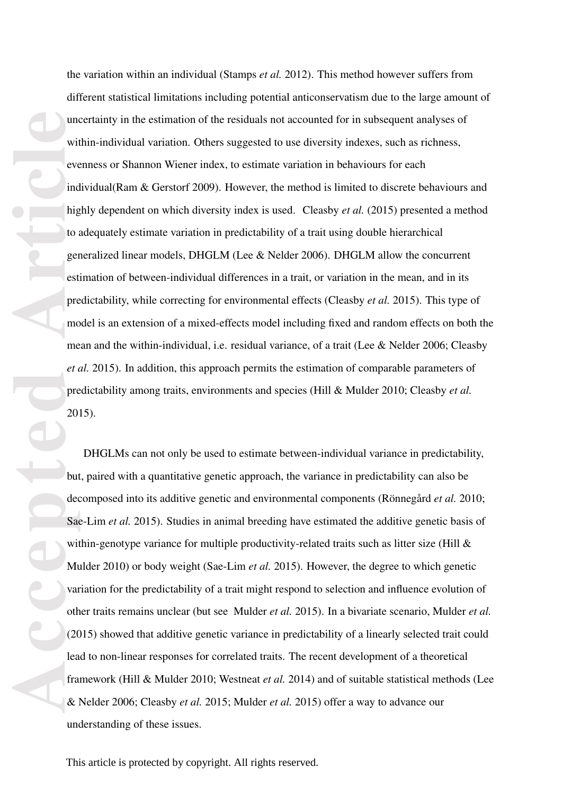accepted and the set of the contract of the contract of the contract of the contract of the contract of the contract of the contract of the contract of the contract of the contract of the contract of the contract of the co the variation within an individual (Stamps *et al.* 2012). This method however suffers from different statistical limitations including potential anticonservatism due to the large amount of uncertainty in the estimation of the residuals not accounted for in subsequent analyses of within-individual variation. Others suggested to use diversity indexes, such as richness, evenness or Shannon Wiener index, to estimate variation in behaviours for each individual(Ram & Gerstorf 2009). However, the method is limited to discrete behaviours and highly dependent on which diversity index is used. Cleasby *et al.* (2015) presented a method to adequately estimate variation in predictability of a trait using double hierarchical generalized linear models, DHGLM (Lee & Nelder 2006). DHGLM allow the concurrent estimation of between-individual differences in a trait, or variation in the mean, and in its predictability, while correcting for environmental effects (Cleasby *et al.* 2015). This type of model is an extension of a mixed-effects model including fixed and random effects on both the mean and the within-individual, i.e. residual variance, of a trait (Lee & Nelder 2006; Cleasby *et al.* 2015). In addition, this approach permits the estimation of comparable parameters of predictability among traits, environments and species (Hill & Mulder 2010; Cleasby *et al.* 2015).

DHGLMs can not only be used to estimate between-individual variance in predictability, but, paired with a quantitative genetic approach, the variance in predictability can also be decomposed into its additive genetic and environmental components (Rönnegård *et al.* 2010; Sae-Lim *et al.* 2015). Studies in animal breeding have estimated the additive genetic basis of within-genotype variance for multiple productivity-related traits such as litter size (Hill  $\&$ Mulder 2010) or body weight (Sae-Lim *et al.* 2015). However, the degree to which genetic variation for the predictability of a trait might respond to selection and influence evolution of other traits remains unclear (but see Mulder *et al.* 2015). In a bivariate scenario, Mulder *et al.* (2015) showed that additive genetic variance in predictability of a linearly selected trait could lead to non-linear responses for correlated traits. The recent development of a theoretical framework (Hill & Mulder 2010; Westneat *et al.* 2014) and of suitable statistical methods (Lee & Nelder 2006; Cleasby *et al.* 2015; Mulder *et al.* 2015) offer a way to advance our understanding of these issues.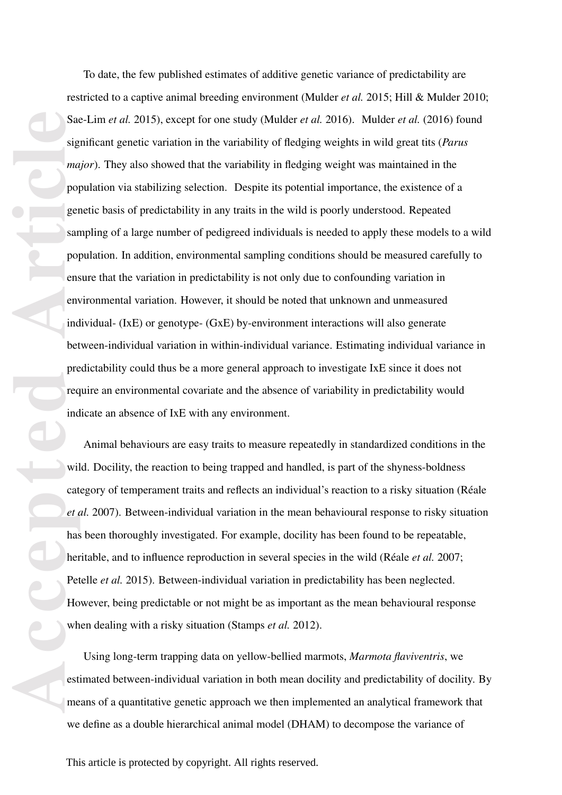Sacker ing the sacker of the sacker of the sacker of the sacker of the sacker of the sacker of the sacker of the sacker me end on the sacker me end on the sacker me end on the sacker me end on the sacker me end on the sack To date, the few published estimates of additive genetic variance of predictability are restricted to a captive animal breeding environment (Mulder *et al.* 2015; Hill & Mulder 2010; Sae-Lim *et al.* 2015), except for one study (Mulder *et al.* 2016). Mulder *et al.* (2016) found significant genetic variation in the variability of fledging weights in wild great tits (*Parus major*). They also showed that the variability in fledging weight was maintained in the population via stabilizing selection. Despite its potential importance, the existence of a genetic basis of predictability in any traits in the wild is poorly understood. Repeated sampling of a large number of pedigreed individuals is needed to apply these models to a wild population. In addition, environmental sampling conditions should be measured carefully to ensure that the variation in predictability is not only due to confounding variation in environmental variation. However, it should be noted that unknown and unmeasured individual- (IxE) or genotype- (GxE) by-environment interactions will also generate between-individual variation in within-individual variance. Estimating individual variance in predictability could thus be a more general approach to investigate IxE since it does not require an environmental covariate and the absence of variability in predictability would indicate an absence of IxE with any environment.

Animal behaviours are easy traits to measure repeatedly in standardized conditions in the wild. Docility, the reaction to being trapped and handled, is part of the shyness-boldness category of temperament traits and reflects an individual's reaction to a risky situation (Réale *et al.* 2007). Between-individual variation in the mean behavioural response to risky situation has been thoroughly investigated. For example, docility has been found to be repeatable, heritable, and to influence reproduction in several species in the wild (Réale *et al.* 2007; Petelle *et al.* 2015). Between-individual variation in predictability has been neglected. However, being predictable or not might be as important as the mean behavioural response when dealing with a risky situation (Stamps *et al.* 2012).

Using long-term trapping data on yellow-bellied marmots, *Marmota flaviventris*, we estimated between-individual variation in both mean docility and predictability of docility. By means of a quantitative genetic approach we then implemented an analytical framework that we define as a double hierarchical animal model (DHAM) to decompose the variance of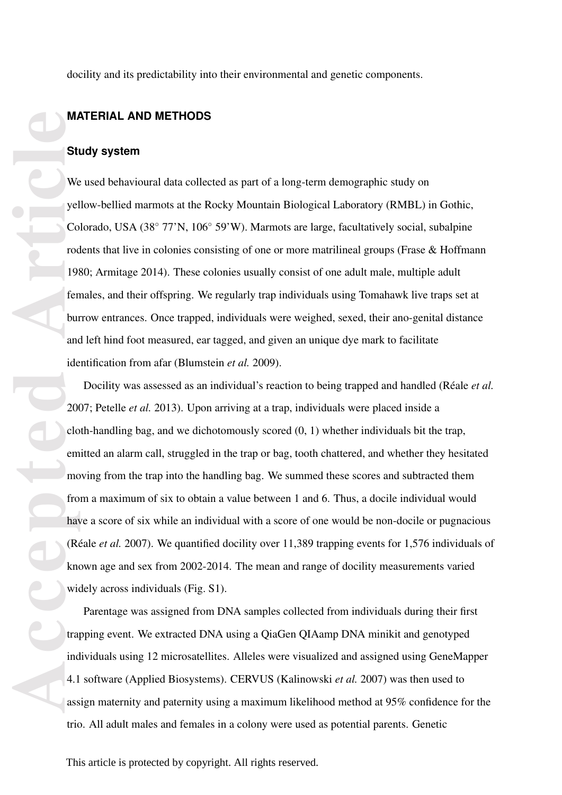docility and its predictability into their environmental and genetic components.

#### **MATERIAL AND METHODS**

#### **Study system**

We used behavioural data collected as part of a long-term demographic study on yellow-bellied marmots at the Rocky Mountain Biological Laboratory (RMBL) in Gothic, Colorado, USA (38*◦* 77'N, 106*◦* 59'W). Marmots are large, facultatively social, subalpine rodents that live in colonies consisting of one or more matrilineal groups (Frase & Hoffmann 1980; Armitage 2014). These colonies usually consist of one adult male, multiple adult females, and their offspring. We regularly trap individuals using Tomahawk live traps set at burrow entrances. Once trapped, individuals were weighed, sexed, their ano-genital distance and left hind foot measured, ear tagged, and given an unique dye mark to facilitate identification from afar (Blumstein *et al.* 2009).

**Article**<br> **Article**<br> **Article**<br> **Article**<br> **Article**<br> **Article**<br> **Article**<br> **Article**<br> **Article**<br> **Article**<br> **Article**<br> **Article**<br> **Article**<br> **Article**<br> **Article**<br> **Article**<br> **Article**<br> **Article**<br> **Article**<br> **Article**<br> **A** Docility was assessed as an individual's reaction to being trapped and handled (Réale *et al.* 2007; Petelle *et al.* 2013). Upon arriving at a trap, individuals were placed inside a cloth-handling bag, and we dichotomously scored (0, 1) whether individuals bit the trap, emitted an alarm call, struggled in the trap or bag, tooth chattered, and whether they hesitated moving from the trap into the handling bag. We summed these scores and subtracted them from a maximum of six to obtain a value between 1 and 6. Thus, a docile individual would have a score of six while an individual with a score of one would be non-docile or pugnacious (Réale *et al.* 2007). We quantified docility over 11,389 trapping events for 1,576 individuals of known age and sex from 2002-2014. The mean and range of docility measurements varied widely across individuals (Fig. S1).

Parentage was assigned from DNA samples collected from individuals during their first trapping event. We extracted DNA using a QiaGen QIAamp DNA minikit and genotyped individuals using 12 microsatellites. Alleles were visualized and assigned using GeneMapper 4.1 software (Applied Biosystems). CERVUS (Kalinowski *et al.* 2007) was then used to assign maternity and paternity using a maximum likelihood method at 95% confidence for the trio. All adult males and females in a colony were used as potential parents. Genetic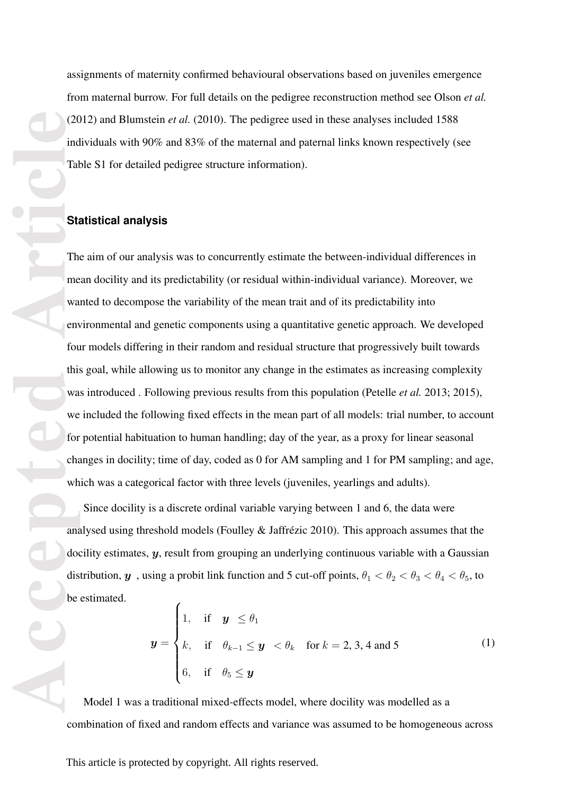assignments of maternity confirmed behavioural observations based on juveniles emergence from maternal burrow. For full details on the pedigree reconstruction method see Olson *et al.* (2012) and Blumstein *et al.* (2010). The pedigree used in these analyses included 1588 individuals with 90% and 83% of the maternal and paternal links known respectively (see Table S1 for detailed pedigree structure information).

#### **Statistical analysis**

Computer of the Computer of the Computer of the Computer of the Computer of the Computer of the Computer of the Computer of the Computer of the Computer of the Computer of the Computer of the Computer of the Computer of th The aim of our analysis was to concurrently estimate the between-individual differences in mean docility and its predictability (or residual within-individual variance). Moreover, we wanted to decompose the variability of the mean trait and of its predictability into environmental and genetic components using a quantitative genetic approach. We developed four models differing in their random and residual structure that progressively built towards this goal, while allowing us to monitor any change in the estimates as increasing complexity was introduced . Following previous results from this population (Petelle *et al.* 2013; 2015), we included the following fixed effects in the mean part of all models: trial number, to account for potential habituation to human handling; day of the year, as a proxy for linear seasonal changes in docility; time of day, coded as 0 for AM sampling and 1 for PM sampling; and age, which was a categorical factor with three levels (juveniles, yearlings and adults).

Since docility is a discrete ordinal variable varying between 1 and 6, the data were analysed using threshold models (Foulley & Jaffrézic 2010). This approach assumes that the docility estimates, *y*, result from grouping an underlying continuous variable with a Gaussian distribution,  $y$ , using a probit link function and 5 cut-off points,  $\theta_1 < \theta_2 < \theta_3 < \theta_4 < \theta_5$ , to be estimated.

$$
\mathbf{y} = \begin{cases} 1, & \text{if } \mathbf{y} \leq \theta_1 \\ k, & \text{if } \theta_{k-1} \leq \mathbf{y} < \theta_k \quad \text{for } k = 2, 3, 4 \text{ and } 5 \\ 6, & \text{if } \theta_5 \leq \mathbf{y} \end{cases} \tag{1}
$$

Model 1 was a traditional mixed-effects model, where docility was modelled as a combination of fixed and random effects and variance was assumed to be homogeneous across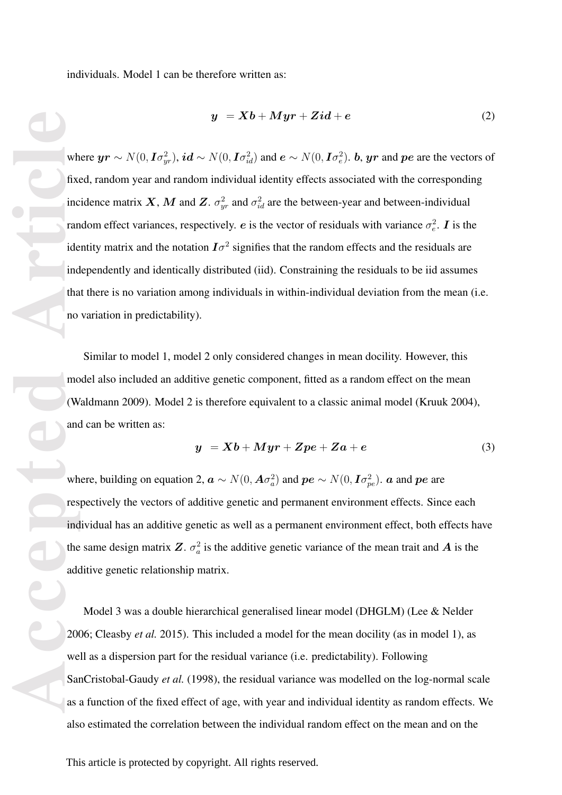individuals. Model 1 can be therefore written as:

$$
y = Xb + Myr + Zid + e \tag{2}
$$

wh<br> **Acceptual**<br> **Acceptual**<br> **Acceptual**<br> **Acceptual**<br> **Acceptual**<br> **Acceptual**<br> **Acceptual**<br> **Acceptual**<br> **Acceptual**<br> **Acceptual**<br> **Acceptual**<br> **Acceptual**<br> **Acceptual**<br> **Acceptual**<br> **Acceptual**<br> **Acceptual**<br> **Acceptual** where  $yr \sim N(0, I\sigma_{yr}^2)$ ,  $id \sim N(0, I\sigma_{id}^2)$  and  $e \sim N(0, I\sigma_e^2)$ . b,  $yr$  and  $pe$  are the vectors of fixed, random year and random individual identity effects associated with the corresponding incidence matrix *X*, *M* and *Z*.  $\sigma_{yr}^2$  and  $\sigma_{id}^2$  are the between-year and between-individual random effect variances, respectively. *e* is the vector of residuals with variance  $\sigma_e^2$ . *I* is the identity matrix and the notation  $I\sigma^2$  signifies that the random effects and the residuals are independently and identically distributed (iid). Constraining the residuals to be iid assumes that there is no variation among individuals in within-individual deviation from the mean (i.e. no variation in predictability).

Similar to model 1, model 2 only considered changes in mean docility. However, this model also included an additive genetic component, fitted as a random effect on the mean (Waldmann 2009). Model 2 is therefore equivalent to a classic animal model (Kruuk 2004), and can be written as:

$$
y = Xb + Myr + Zpe + Za + e \tag{3}
$$

where, building on equation 2,  $\boldsymbol{a} \sim N(0, \boldsymbol{A} \sigma_a^2)$  and  $\boldsymbol{p} \boldsymbol{e} \sim N(0, \boldsymbol{I} \sigma_{pe}^2)$ .  $\boldsymbol{a}$  and  $\boldsymbol{p} \boldsymbol{e}$  are respectively the vectors of additive genetic and permanent environment effects. Since each individual has an additive genetic as well as a permanent environment effect, both effects have the same design matrix  $Z$ .  $\sigma_a^2$  is the additive genetic variance of the mean trait and  $A$  is the additive genetic relationship matrix.

Model 3 was a double hierarchical generalised linear model (DHGLM) (Lee & Nelder 2006; Cleasby *et al.* 2015). This included a model for the mean docility (as in model 1), as well as a dispersion part for the residual variance (i.e. predictability). Following SanCristobal-Gaudy *et al.* (1998), the residual variance was modelled on the log-normal scale as a function of the fixed effect of age, with year and individual identity as random effects. We also estimated the correlation between the individual random effect on the mean and on the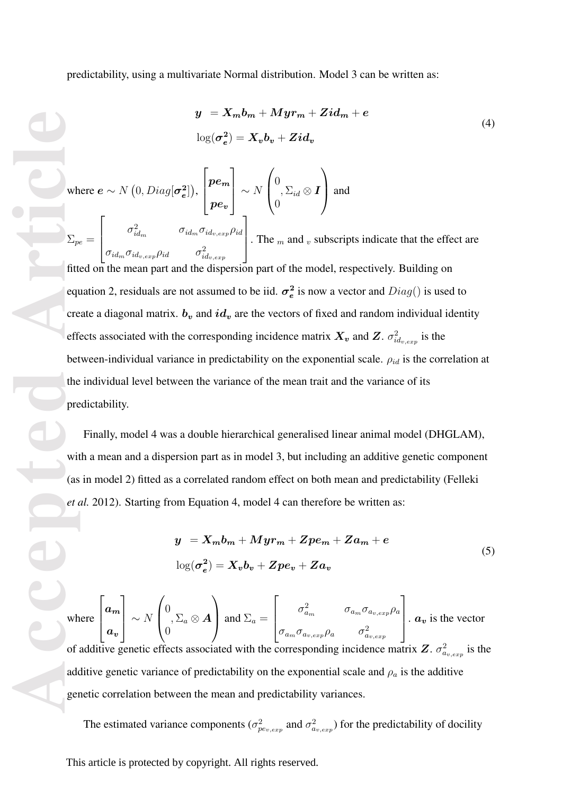predictability, using a multivariate Normal distribution. Model 3 can be written as:

$$
y = X_m b_m + Myr_m + Zid_m + e
$$
  

$$
\log(\sigma_e^2) = X_v b_v + Zid_v
$$
 (4)

**Accepted Article**<br> **Article**<br> **Article**<br> **Article**<br> **Article**<br> **Article**<br> **Article**<br> **Article**<br> **Article**<br> **Article**<br> **Article**<br> **Article**<br> **Article**<br> **Article**<br> **Article**<br> **Article**<br> **Article**<br> **Article**<br> **Article**<br> **A** where  $e \sim N(0, Diag[\sigma_e^2])$  $\begin{pmatrix} 2 \ 2 \end{pmatrix}\Big),$  $\sqrt{ }$  $\overline{\phantom{a}}$ *pe*<sup>m</sup> *pe*<sup>v</sup> 1 *<sup>∼</sup> <sup>N</sup>*  $\sqrt{ }$  $\overline{ }$ 0 0  $, \Sigma_{id} \otimes I$  $\setminus$ and<br>  $\Sigma_{pe} =$  $\sqrt{ }$  $\parallel$  $\sigma^2_{id_m}$  *σ*<sub>*id<sub>m</sub>*</sub>  $\sigma_{id_v,exp}$   $\rho_{id}$  $\sigma_{id_m}\sigma_{id_{v,exp}}\rho_{id} \qquad \sigma_{id_{v,exp}}^2$ 1  $\vert$ . The *<sup>m</sup>* and *<sup>v</sup>* subscripts indicate that the effect are fitted on the mean part and the dispersion part of the model, respectively. Building on equation 2, residuals are not assumed to be iid.  $\sigma_e^2$  $\frac{2}{e}$  is now a vector and  $Diag()$  is used to create a diagonal matrix.  $b_v$  and  $id_v$  are the vectors of fixed and random individual identity effects associated with the corresponding incidence matrix  $X_v$  and  $Z$ .  $\sigma_{id_{v,exp}}^2$  is the between-individual variance in predictability on the exponential scale. *ρid* is the correlation at the individual level between the variance of the mean trait and the variance of its predictability.

Finally, model 4 was a double hierarchical generalised linear animal model (DHGLAM), with a mean and a dispersion part as in model 3, but including an additive genetic component (as in model 2) fitted as a correlated random effect on both mean and predictability (Felleki *et al.* 2012). Starting from Equation 4, model 4 can therefore be written as:

$$
y = X_m b_m + Myr_m + Zpe_m + Za_m + e
$$
  

$$
\log(\sigma_e^2) = X_v b_v + Zpe_v + Za_v
$$
 (5)

where  $\sqrt{ }$  $\parallel$ *a*<sup>m</sup> *a*v 1 *<sup>∼</sup> <sup>N</sup>*  $\sqrt{ }$  $\left\lfloor \right\rfloor$ 0 0  $,\Sigma_a\otimes \boldsymbol{A}$  $\setminus$ and  $\Sigma_a =$  $\sqrt{ }$  $\vert$  $\sigma_{a_m}^2$  *σ*<sub>*am*</sub> *σ*<sub>*a<sub><i>m*</sub> *σ*<sub>*a<sub><i>v*</sub>,exp</sub> *ρ*<sub>*a*</sub></sub></sub>  $\sigma$ <sup>2</sup>*a*<sub>*v*</sub>,e*xp*</sub> *σ*<sup>2</sup><sub>*av*,e*xp*</sub> 1  $\vert \cdot a_v$  is the vector of additive genetic effects associated with the corresponding incidence matrix  $Z$ .  $\sigma_{a_{v,exp}}^2$  is the additive genetic variance of predictability on the exponential scale and  $\rho_a$  is the additive genetic correlation between the mean and predictability variances.

The estimated variance components ( $\sigma_{pe_{v,exp}}^2$  and  $\sigma_{a_{v,exp}}^2$ ) for the predictability of docility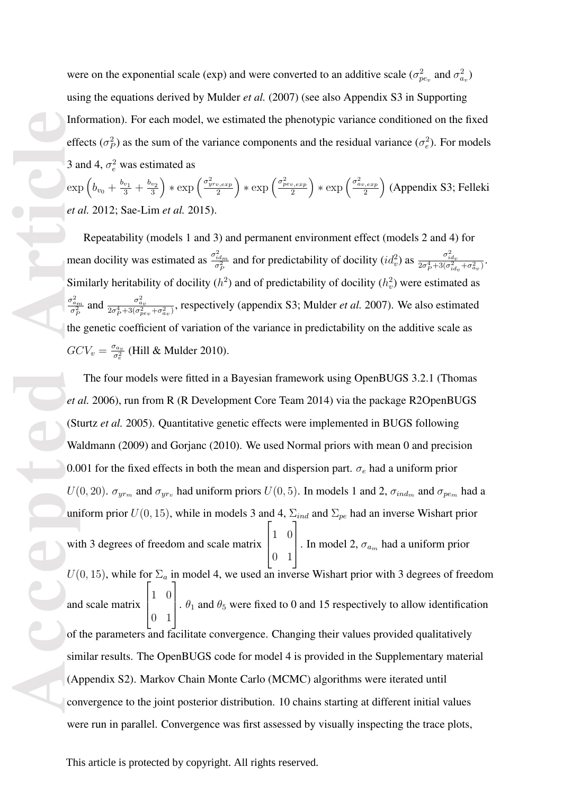were on the exponential scale (exp) and were converted to an additive scale ( $\sigma_{pev}^2$  and  $\sigma_{a_v}^2$ ) using the equations derived by Mulder *et al.* (2007) (see also Appendix S3 in Supporting Information). For each model, we estimated the phenotypic variance conditioned on the fixed effects ( $\sigma_P^2$ ) as the sum of the variance components and the residual variance ( $\sigma_e^2$ ). For models 3 and 4,  $\sigma_e^2$  was estimated as

 $\exp\left(b_{v_0} + \frac{b_{v_1}}{3} + \frac{b_{v_2}}{3}\right)$  $\left(\frac{\sigma_{yrv,exp}^2}{3}\right) * \exp\left(\frac{\sigma_{yrv,exp}^2}{2}\right)$  $\left(\frac{\sigma_{pev,exp}^2}{2}\right) * \exp\left(\frac{\sigma_{pev,exp}^2}{2}\right)$  $\left(\frac{\sigma_{av,exp}^2}{2}\right) * \exp\left(\frac{\sigma_{av,exp}^2}{2}\right)$  $\left(\frac{2}{2}\right)$  (Appendix S3; Felleki *et al.* 2012; Sae-Lim *et al.* 2015).

Repeatability (models 1 and 3) and permanent environment effect (models 2 and 4) for mean docility was estimated as  $\frac{\sigma_{idm}^2}{\sigma_P^2}$  and for predictability of docility  $(id_v^2)$  as  $\frac{\sigma_{id_v}^2}{2\sigma_P^4 + 3(\sigma_{id_v}^2 + \sigma_{d_v}^2)}$ . Similarly heritability of docility  $(h^2)$  and of predictability of docility  $(h_v^2)$  were estimated as  $\frac{\sigma_{a_m}^2}{\sigma_P^2}$  and  $\frac{\sigma_{a_v}^2}{2\sigma_P^4 + 3(\sigma_{pe_v}^2 + \sigma_{a_v}^2)}$ , respectively (appendix S3; Mulder *et al.* 2007). We also estimated the genetic coefficient of variation of the variance in predictability on the additive scale as  $GCV_v = \frac{\sigma_{av}}{\sigma^2}$  $\frac{\sigma_{av}}{\sigma_e^2}$  (Hill & Mulder 2010).

Inf<br>
efficial a<br>
exp<br>
et d<br>
me<br>
Sir<br>
me<br>
Sir<br>
die GC<br>
et d<br>
(St<br>
Wa<br>
0.0<br>
U(<br>
uni<br>
wit<br>
U(<br>
and<br>
figh con<br>
figh con<br>
figh con<br>
figh con<br>
figh con<br>
figh con<br>
figh con<br>
figh con<br>
figh con<br>
figh con<br>
figh con<br>
figh con<br>
figh The four models were fitted in a Bayesian framework using OpenBUGS 3.2.1 (Thomas *et al.* 2006), run from R (R Development Core Team 2014) via the package R2OpenBUGS (Sturtz *et al.* 2005). Quantitative genetic effects were implemented in BUGS following Waldmann (2009) and Gorjanc (2010). We used Normal priors with mean 0 and precision 0.001 for the fixed effects in both the mean and dispersion part. *σ<sup>e</sup>* had a uniform prior *U*(0*,* 20).  $\sigma_{y r_m}$  and  $\sigma_{y r_v}$  had uniform priors *U*(0*,* 5). In models 1 and 2,  $\sigma_{ind_m}$  and  $\sigma_{pe_m}$  had a uniform prior  $U(0, 15)$ , while in models 3 and 4,  $\Sigma_{ind}$  and  $\Sigma_{pe}$  had an inverse Wishart prior with 3 degrees of freedom and scale matrix  $\sqrt{ }$  $\overline{\phantom{a}}$ 1 0 0 1 1 . In model 2,  $\sigma_{a_m}$  had a uniform prior  $U(0, 15)$ , while for  $\Sigma_a$  in model 4, we used an inverse Wishart prior with 3 degrees of freedom and scale matrix  $\sqrt{ }$  $\overline{\phantom{a}}$ 1 0 0 1 1  $\theta_1$  and  $\theta_5$  were fixed to 0 and 15 respectively to allow identification of the parameters and facilitate convergence. Changing their values provided qualitatively similar results. The OpenBUGS code for model 4 is provided in the Supplementary material (Appendix S2). Markov Chain Monte Carlo (MCMC) algorithms were iterated until convergence to the joint posterior distribution. 10 chains starting at different initial values were run in parallel. Convergence was first assessed by visually inspecting the trace plots,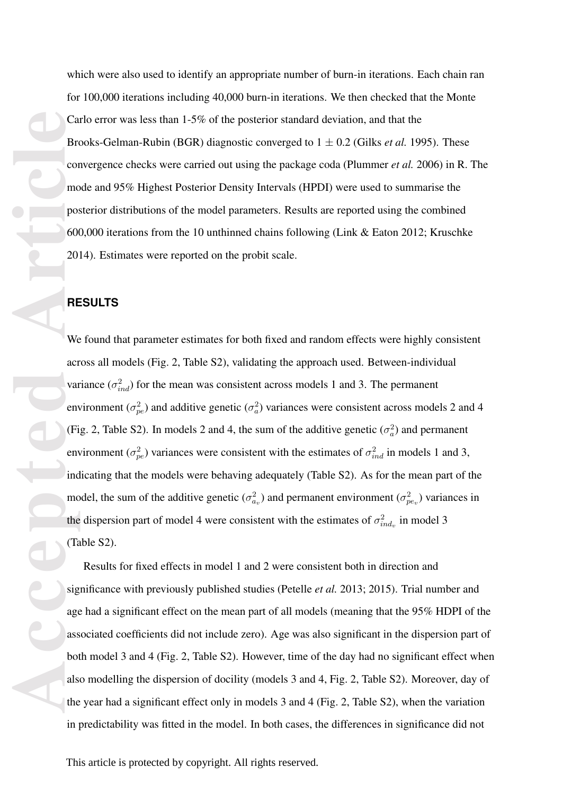which were also used to identify an appropriate number of burn-in iterations. Each chain ran for 100,000 iterations including 40,000 burn-in iterations. We then checked that the Monte Carlo error was less than 1-5% of the posterior standard deviation, and that the Brooks-Gelman-Rubin (BGR) diagnostic converged to 1 *±* 0.2 (Gilks *et al.* 1995). These convergence checks were carried out using the package coda (Plummer *et al.* 2006) in R. The mode and 95% Highest Posterior Density Intervals (HPDI) were used to summarise the posterior distributions of the model parameters. Results are reported using the combined 600,000 iterations from the 10 unthinned chains following (Link & Eaton 2012; Kruschke 2014). Estimates were reported on the probit scale.

#### **RESULTS**

**Accepted Article** We found that parameter estimates for both fixed and random effects were highly consistent across all models (Fig. 2, Table S2), validating the approach used. Between-individual variance  $(\sigma_{ind}^2)$  for the mean was consistent across models 1 and 3. The permanent environment ( $\sigma_{pe}^2$ ) and additive genetic ( $\sigma_a^2$ ) variances were consistent across models 2 and 4 (Fig. 2, Table S2). In models 2 and 4, the sum of the additive genetic  $(\sigma_a^2)$  and permanent environment ( $\sigma_{pe}^2$ ) variances were consistent with the estimates of  $\sigma_{ind}^2$  in models 1 and 3, indicating that the models were behaving adequately (Table S2). As for the mean part of the model, the sum of the additive genetic ( $\sigma_{av}^2$ ) and permanent environment ( $\sigma_{pev}^2$ ) variances in the dispersion part of model 4 were consistent with the estimates of  $\sigma_{ind_v}^2$  in model 3 (Table S2).

Results for fixed effects in model 1 and 2 were consistent both in direction and significance with previously published studies (Petelle *et al.* 2013; 2015). Trial number and age had a significant effect on the mean part of all models (meaning that the 95% HDPI of the associated coefficients did not include zero). Age was also significant in the dispersion part of both model 3 and 4 (Fig. 2, Table S2). However, time of the day had no significant effect when also modelling the dispersion of docility (models 3 and 4, Fig. 2, Table S2). Moreover, day of the year had a significant effect only in models 3 and 4 (Fig. 2, Table S2), when the variation in predictability was fitted in the model. In both cases, the differences in significance did not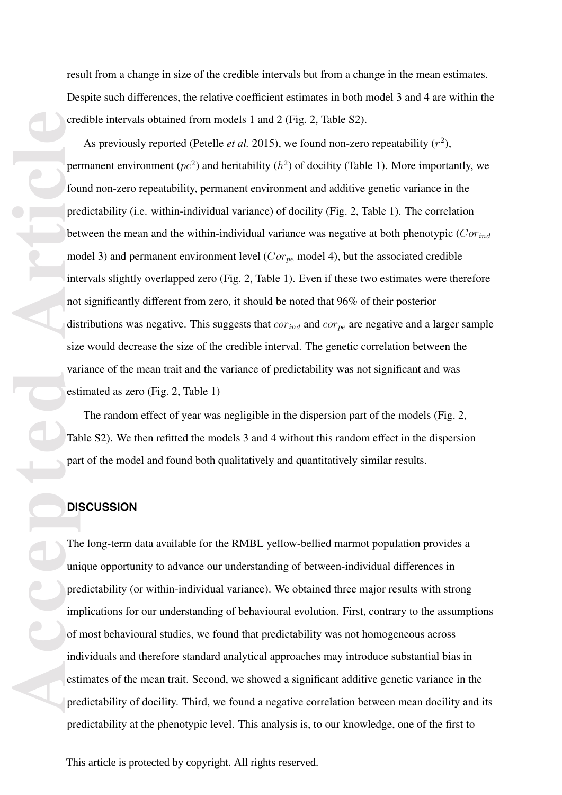result from a change in size of the credible intervals but from a change in the mean estimates. Despite such differences, the relative coefficient estimates in both model 3 and 4 are within the credible intervals obtained from models 1 and 2 (Fig. 2, Table S2).

As previously reported (Petelle *et al.* 2015), we found non-zero repeatability  $(r^2)$ , permanent environment ( $pe<sup>2</sup>$ ) and heritability ( $h<sup>2</sup>$ ) of docility (Table 1). More importantly, we found non-zero repeatability, permanent environment and additive genetic variance in the predictability (i.e. within-individual variance) of docility (Fig. 2, Table 1). The correlation between the mean and the within-individual variance was negative at both phenotypic (*Corind* model 3) and permanent environment level (*Corpe* model 4), but the associated credible intervals slightly overlapped zero (Fig. 2, Table 1). Even if these two estimates were therefore not significantly different from zero, it should be noted that 96% of their posterior distributions was negative. This suggests that *corind* and *corpe* are negative and a larger sample size would decrease the size of the credible interval. The genetic correlation between the variance of the mean trait and the variance of predictability was not significant and was estimated as zero (Fig. 2, Table 1)

The random effect of year was negligible in the dispersion part of the models (Fig. 2, Table S2). We then refitted the models 3 and 4 without this random effect in the dispersion part of the model and found both qualitatively and quantitatively similar results.

#### **DISCUSSION**

**Accepted Article** The long-term data available for the RMBL yellow-bellied marmot population provides a unique opportunity to advance our understanding of between-individual differences in predictability (or within-individual variance). We obtained three major results with strong implications for our understanding of behavioural evolution. First, contrary to the assumptions of most behavioural studies, we found that predictability was not homogeneous across individuals and therefore standard analytical approaches may introduce substantial bias in estimates of the mean trait. Second, we showed a significant additive genetic variance in the predictability of docility. Third, we found a negative correlation between mean docility and its predictability at the phenotypic level. This analysis is, to our knowledge, one of the first to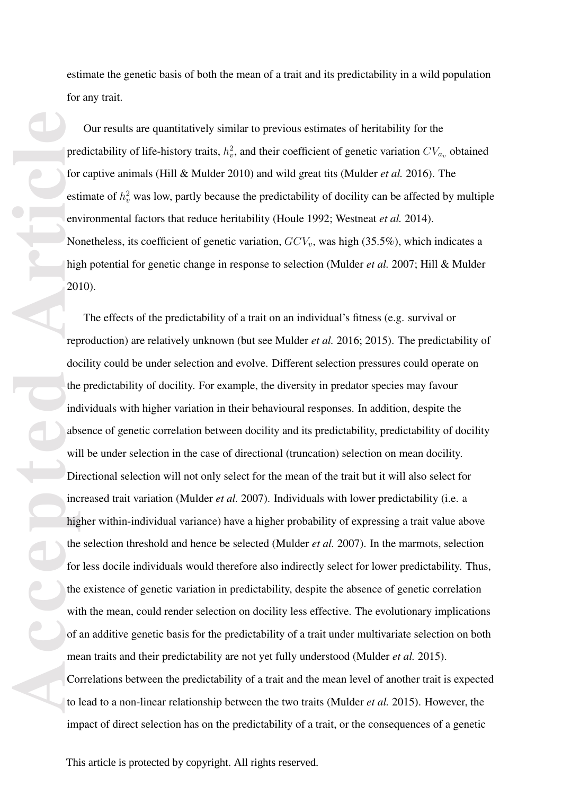estimate the genetic basis of both the mean of a trait and its predictability in a wild population for any trait.

Our results are quantitatively similar to previous estimates of heritability for the predictability of life-history traits,  $h_v^2$ , and their coefficient of genetic variation  $CV_{a_v}$  obtained for captive animals (Hill & Mulder 2010) and wild great tits (Mulder *et al.* 2016). The estimate of  $h_v^2$  was low, partly because the predictability of docility can be affected by multiple environmental factors that reduce heritability (Houle 1992; Westneat *et al.* 2014). Nonetheless, its coefficient of genetic variation, *GCVv*, was high (35.5%), which indicates a high potential for genetic change in response to selection (Mulder *et al.* 2007; Hill & Mulder 2010).

**Prediction of Article**<br> **Accepted**<br> **Accepted**<br> **Accepted**<br> **Accepted**<br> **Article**<br> **Article**<br> **Article**<br> **Article**<br> **Article**<br> **Article**<br> **Article**<br> **Article**<br> **Article**<br> **Article**<br> **Article**<br> **Article**<br> **Article**<br> **Artic** The effects of the predictability of a trait on an individual's fitness (e.g. survival or reproduction) are relatively unknown (but see Mulder *et al.* 2016; 2015). The predictability of docility could be under selection and evolve. Different selection pressures could operate on the predictability of docility. For example, the diversity in predator species may favour individuals with higher variation in their behavioural responses. In addition, despite the absence of genetic correlation between docility and its predictability, predictability of docility will be under selection in the case of directional (truncation) selection on mean docility. Directional selection will not only select for the mean of the trait but it will also select for increased trait variation (Mulder *et al.* 2007). Individuals with lower predictability (i.e. a higher within-individual variance) have a higher probability of expressing a trait value above the selection threshold and hence be selected (Mulder *et al.* 2007). In the marmots, selection for less docile individuals would therefore also indirectly select for lower predictability. Thus, the existence of genetic variation in predictability, despite the absence of genetic correlation with the mean, could render selection on docility less effective. The evolutionary implications of an additive genetic basis for the predictability of a trait under multivariate selection on both mean traits and their predictability are not yet fully understood (Mulder *et al.* 2015). Correlations between the predictability of a trait and the mean level of another trait is expected to lead to a non-linear relationship between the two traits (Mulder *et al.* 2015). However, the impact of direct selection has on the predictability of a trait, or the consequences of a genetic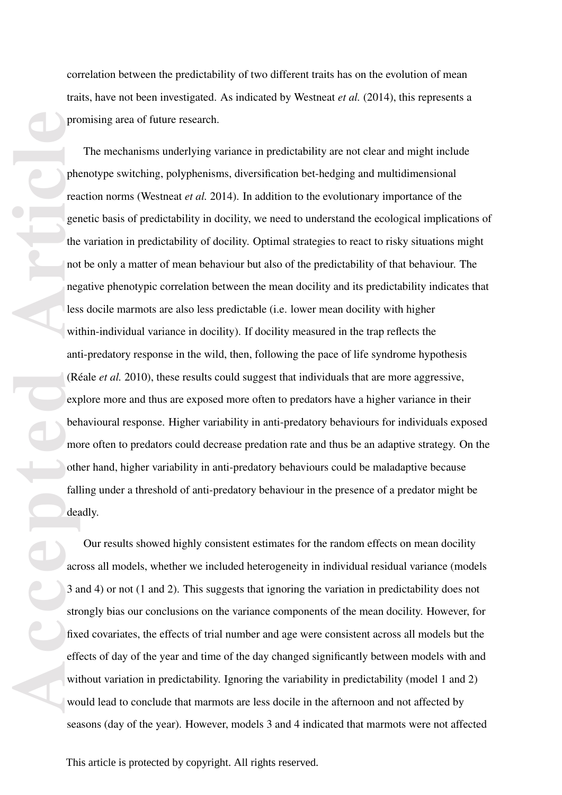correlation between the predictability of two different traits has on the evolution of mean traits, have not been investigated. As indicated by Westneat *et al.* (2014), this represents a promising area of future research.

produced accepted accepted accepted accepted accepted accepted accepted accepted accepted accepted accepted accepted accepted accepted accepted accepted accepted accepted accepted accepted accepted accepted accepted accept The mechanisms underlying variance in predictability are not clear and might include phenotype switching, polyphenisms, diversification bet-hedging and multidimensional reaction norms (Westneat *et al.* 2014). In addition to the evolutionary importance of the genetic basis of predictability in docility, we need to understand the ecological implications of the variation in predictability of docility. Optimal strategies to react to risky situations might not be only a matter of mean behaviour but also of the predictability of that behaviour. The negative phenotypic correlation between the mean docility and its predictability indicates that less docile marmots are also less predictable (i.e. lower mean docility with higher within-individual variance in docility). If docility measured in the trap reflects the anti-predatory response in the wild, then, following the pace of life syndrome hypothesis (Réale *et al.* 2010), these results could suggest that individuals that are more aggressive, explore more and thus are exposed more often to predators have a higher variance in their behavioural response. Higher variability in anti-predatory behaviours for individuals exposed more often to predators could decrease predation rate and thus be an adaptive strategy. On the other hand, higher variability in anti-predatory behaviours could be maladaptive because falling under a threshold of anti-predatory behaviour in the presence of a predator might be deadly.

Our results showed highly consistent estimates for the random effects on mean docility across all models, whether we included heterogeneity in individual residual variance (models 3 and 4) or not (1 and 2). This suggests that ignoring the variation in predictability does not strongly bias our conclusions on the variance components of the mean docility. However, for fixed covariates, the effects of trial number and age were consistent across all models but the effects of day of the year and time of the day changed significantly between models with and without variation in predictability. Ignoring the variability in predictability (model 1 and 2) would lead to conclude that marmots are less docile in the afternoon and not affected by seasons (day of the year). However, models 3 and 4 indicated that marmots were not affected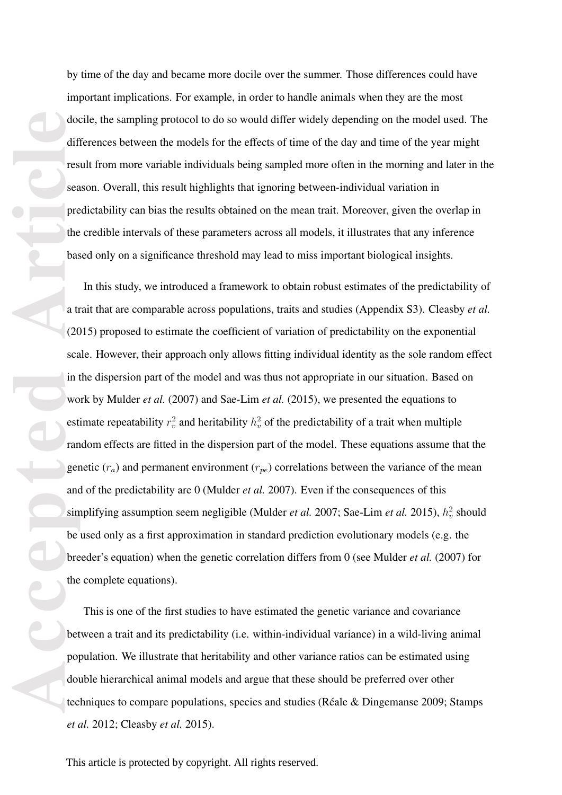by time of the day and became more docile over the summer. Those differences could have important implications. For example, in order to handle animals when they are the most docile, the sampling protocol to do so would differ widely depending on the model used. The differences between the models for the effects of time of the day and time of the year might result from more variable individuals being sampled more often in the morning and later in the season. Overall, this result highlights that ignoring between-individual variation in predictability can bias the results obtained on the mean trait. Moreover, given the overlap in the credible intervals of these parameters across all models, it illustrates that any inference based only on a significance threshold may lead to miss important biological insights.

**Accepted Article** In this study, we introduced a framework to obtain robust estimates of the predictability of a trait that are comparable across populations, traits and studies (Appendix S3). Cleasby *et al.* (2015) proposed to estimate the coefficient of variation of predictability on the exponential scale. However, their approach only allows fitting individual identity as the sole random effect in the dispersion part of the model and was thus not appropriate in our situation. Based on work by Mulder *et al.* (2007) and Sae-Lim *et al.* (2015), we presented the equations to estimate repeatability  $r_v^2$  and heritability  $h_v^2$  of the predictability of a trait when multiple random effects are fitted in the dispersion part of the model. These equations assume that the genetic  $(r_a)$  and permanent environment  $(r_{pe})$  correlations between the variance of the mean and of the predictability are 0 (Mulder *et al.* 2007). Even if the consequences of this simplifying assumption seem negligible (Mulder *et al.* 2007; Sae-Lim *et al.* 2015),  $h_v^2$  should be used only as a first approximation in standard prediction evolutionary models (e.g. the breeder's equation) when the genetic correlation differs from 0 (see Mulder *et al.* (2007) for the complete equations).

This is one of the first studies to have estimated the genetic variance and covariance between a trait and its predictability (i.e. within-individual variance) in a wild-living animal population. We illustrate that heritability and other variance ratios can be estimated using double hierarchical animal models and argue that these should be preferred over other techniques to compare populations, species and studies (Réale & Dingemanse 2009; Stamps *et al.* 2012; Cleasby *et al.* 2015).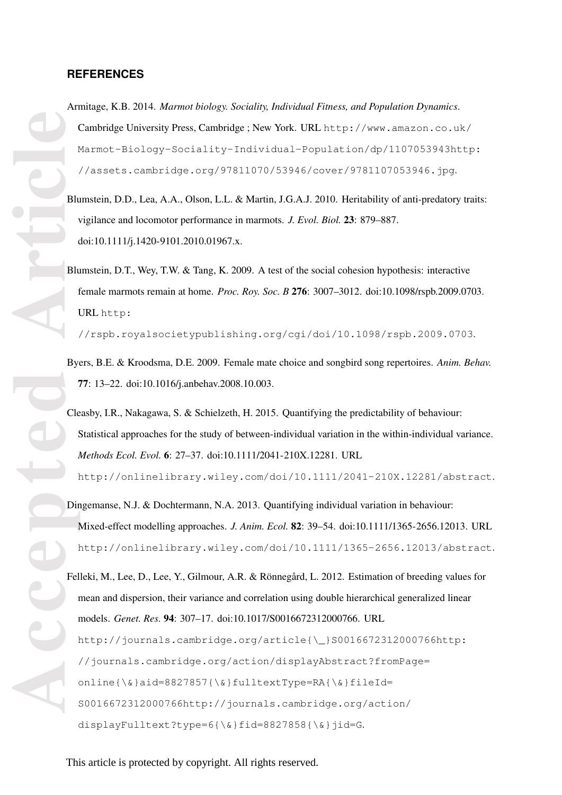#### **REFERENCES**

- Armitage, K.B. 2014. *Marmot biology. Sociality, Individual Fitness, and Population Dynamics*. Cambridge University Press, Cambridge ; New York. URL http://www.amazon.co.uk/ Marmot-Biology-Sociality-Individual-Population/dp/1107053943http: //assets.cambridge.org/97811070/53946/cover/9781107053946.jpg.
- Blumstein, D.D., Lea, A.A., Olson, L.L. & Martin, J.G.A.J. 2010. Heritability of anti-predatory traits: vigilance and locomotor performance in marmots. *J. Evol. Biol.* 23: 879–887. doi:10.1111/j.1420-9101.2010.01967.x.
- Blumstein, D.T., Wey, T.W. & Tang, K. 2009. A test of the social cohesion hypothesis: interactive female marmots remain at home. *Proc. Roy. Soc. B* 276: 3007–3012. doi:10.1098/rspb.2009.0703. URL http:

//rspb.royalsocietypublishing.org/cgi/doi/10.1098/rspb.2009.0703.

- Byers, B.E. & Kroodsma, D.E. 2009. Female mate choice and songbird song repertoires. *Anim. Behav.* 77: 13–22. doi:10.1016/j.anbehav.2008.10.003.
- Cleasby, I.R., Nakagawa, S. & Schielzeth, H. 2015. Quantifying the predictability of behaviour: Statistical approaches for the study of between-individual variation in the within-individual variance. *Methods Ecol. Evol.* 6: 27–37. doi:10.1111/2041-210X.12281. URL

http://onlinelibrary.wiley.com/doi/10.1111/2041-210X.12281/abstract.

Dingemanse, N.J. & Dochtermann, N.A. 2013. Quantifying individual variation in behaviour: Mixed-effect modelling approaches. *J. Anim. Ecol.* 82: 39–54. doi:10.1111/1365-2656.12013. URL http://onlinelibrary.wiley.com/doi/10.1111/1365-2656.12013/abstract.

**Accepted Article** Felleki, M., Lee, D., Lee, Y., Gilmour, A.R. & Rönnegård, L. 2012. Estimation of breeding values for mean and dispersion, their variance and correlation using double hierarchical generalized linear models. *Genet. Res.* 94: 307–17. doi:10.1017/S0016672312000766. URL http://journals.cambridge.org/article{\\_}S0016672312000766http: //journals.cambridge.org/action/displayAbstract?fromPage= online{\&}aid=8827857{\&}fulltextType=RA{\&}fileId= S0016672312000766http://journals.cambridge.org/action/ displayFulltext?type=6{\&}fid=8827858{\&}jid=G.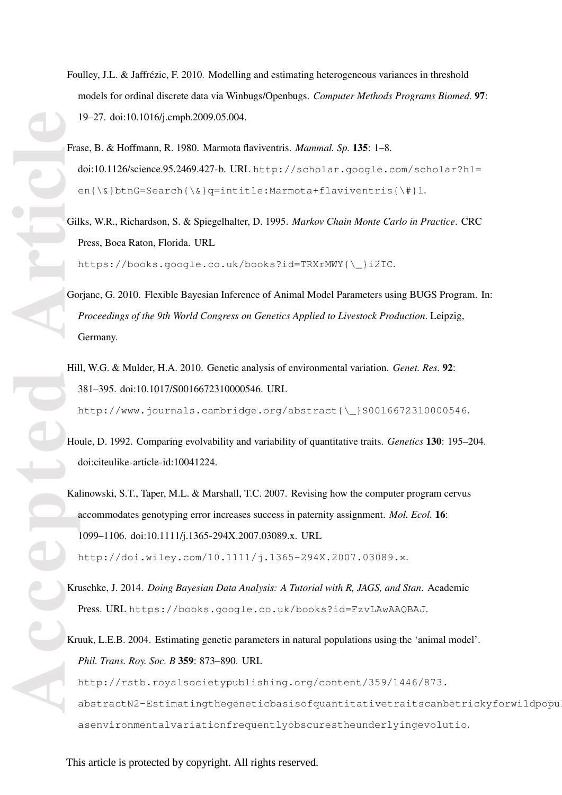- Foulley, J.L. & Jaffrézic, F. 2010. Modelling and estimating heterogeneous variances in threshold models for ordinal discrete data via Winbugs/Openbugs. *Computer Methods Programs Biomed.* 97: 19–27. doi:10.1016/j.cmpb.2009.05.004.
- Frase, B. & Hoffmann, R. 1980. Marmota flaviventris. *Mammal. Sp.* 135: 1–8. doi:10.1126/science.95.2469.427-b. URL http://scholar.google.com/scholar?hl=  $en{\&}btnG=Search{\&}q=intitle:Marmota+flaviventris{\&}1.$
- Gilks, W.R., Richardson, S. & Spiegelhalter, D. 1995. *Markov Chain Monte Carlo in Practice*. CRC Press, Boca Raton, Florida. URL

https://books.google.co.uk/books?id=TRXrMWY{\\_}i2IC.

- Gorjanc, G. 2010. Flexible Bayesian Inference of Animal Model Parameters using BUGS Program. In: *Proceedings of the 9th World Congress on Genetics Applied to Livestock Production*. Leipzig, Germany.
- Hill, W.G. & Mulder, H.A. 2010. Genetic analysis of environmental variation. *Genet. Res.* 92: 381–395. doi:10.1017/S0016672310000546. URL http://www.journals.cambridge.org/abstract{\\_}S0016672310000546.
- Houle, D. 1992. Comparing evolvability and variability of quantitative traits. *Genetics* 130: 195–204. doi:citeulike-article-id:10041224.
- **Accepted Articles Articles Articles Constructed Articles Constructed Articles Constructed Articles Constructed Property Constructed Property Constructed Property Constructed Property Constructed Property Const** Kalinowski, S.T., Taper, M.L. & Marshall, T.C. 2007. Revising how the computer program cervus accommodates genotyping error increases success in paternity assignment. *Mol. Ecol.* 16: 1099–1106. doi:10.1111/j.1365-294X.2007.03089.x. URL http://doi.wiley.com/10.1111/j.1365-294X.2007.03089.x.

- Kruschke, J. 2014. *Doing Bayesian Data Analysis: A Tutorial with R, JAGS, and Stan*. Academic Press. URL https://books.google.co.uk/books?id=FzvLAwAAQBAJ.
- Kruuk, L.E.B. 2004. Estimating genetic parameters in natural populations using the 'animal model'. *Phil. Trans. Roy. Soc. B* 359: 873–890. URL

http://rstb.royalsocietypublishing.org/content/359/1446/873. abstractN2-Estimatingthegeneticbasisofquantitativetraitscanbetrickyforwildpopu asenvironmentalvariationfrequentlyobscurestheunderlyingevolutio.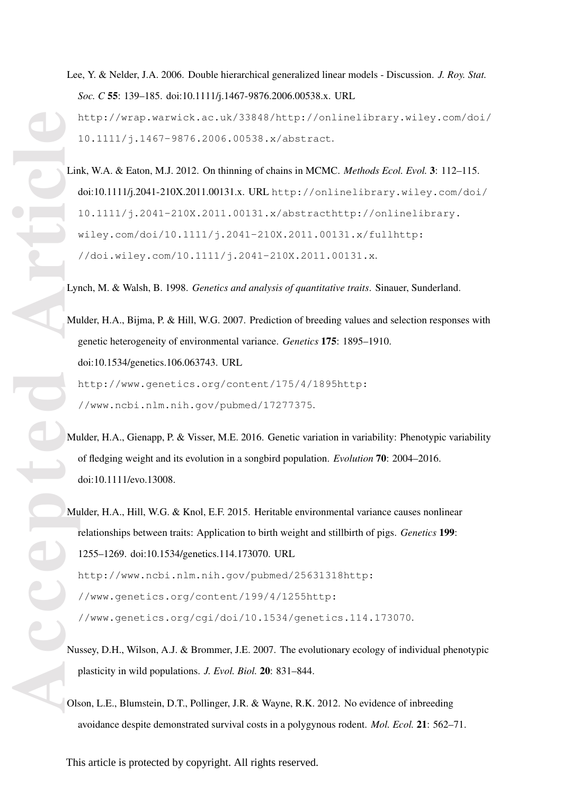Lee, Y. & Nelder, J.A. 2006. Double hierarchical generalized linear models - Discussion. *J. Roy. Stat. Soc. C* 55: 139–185. doi:10.1111/j.1467-9876.2006.00538.x. URL http://wrap.warwick.ac.uk/33848/http://onlinelibrary.wiley.com/doi/ 10.1111/j.1467-9876.2006.00538.x/abstract.

Link, W.A. & Eaton, M.J. 2012. On thinning of chains in MCMC. *Methods Ecol. Evol.* 3: 112–115. doi:10.1111/j.2041-210X.2011.00131.x. URL http://onlinelibrary.wiley.com/doi/ 10.1111/j.2041-210X.2011.00131.x/abstracthttp://onlinelibrary. wiley.com/doi/10.1111/j.2041-210X.2011.00131.x/fullhttp: //doi.wiley.com/10.1111/j.2041-210X.2011.00131.x.

Lynch, M. & Walsh, B. 1998. *Genetics and analysis of quantitative traits*. Sinauer, Sunderland.

Mulder, H.A., Bijma, P. & Hill, W.G. 2007. Prediction of breeding values and selection responses with genetic heterogeneity of environmental variance. *Genetics* 175: 1895–1910. doi:10.1534/genetics.106.063743. URL http://www.genetics.org/content/175/4/1895http:

//www.ncbi.nlm.nih.gov/pubmed/17277375.

Mulder, H.A., Gienapp, P. & Visser, M.E. 2016. Genetic variation in variability: Phenotypic variability of fledging weight and its evolution in a songbird population. *Evolution* 70: 2004–2016. doi:10.1111/evo.13008.

**Accepted Article** Mulder, H.A., Hill, W.G. & Knol, E.F. 2015. Heritable environmental variance causes nonlinear relationships between traits: Application to birth weight and stillbirth of pigs. *Genetics* 199: 1255–1269. doi:10.1534/genetics.114.173070. URL http://www.ncbi.nlm.nih.gov/pubmed/25631318http: //www.genetics.org/content/199/4/1255http: //www.genetics.org/cgi/doi/10.1534/genetics.114.173070.

- Nussey, D.H., Wilson, A.J. & Brommer, J.E. 2007. The evolutionary ecology of individual phenotypic plasticity in wild populations. *J. Evol. Biol.* 20: 831–844.
- Olson, L.E., Blumstein, D.T., Pollinger, J.R. & Wayne, R.K. 2012. No evidence of inbreeding avoidance despite demonstrated survival costs in a polygynous rodent. *Mol. Ecol.* 21: 562–71.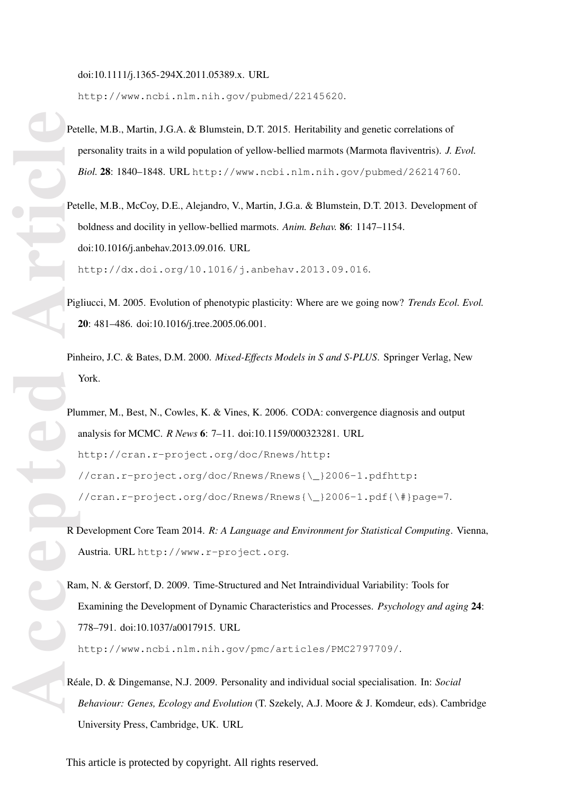doi:10.1111/j.1365-294X.2011.05389.x. URL

http://www.ncbi.nlm.nih.gov/pubmed/22145620.

- Petelle, M.B., Martin, J.G.A. & Blumstein, D.T. 2015. Heritability and genetic correlations of personality traits in a wild population of yellow-bellied marmots (Marmota flaviventris). *J. Evol. Biol.* 28: 1840–1848. URL http://www.ncbi.nlm.nih.gov/pubmed/26214760.
- Petelle, M.B., McCoy, D.E., Alejandro, V., Martin, J.G.a. & Blumstein, D.T. 2013. Development of boldness and docility in yellow-bellied marmots. *Anim. Behav.* 86: 1147–1154. doi:10.1016/j.anbehav.2013.09.016. URL http://dx.doi.org/10.1016/j.anbehav.2013.09.016.
- Pigliucci, M. 2005. Evolution of phenotypic plasticity: Where are we going now? *Trends Ecol. Evol.* 20: 481–486. doi:10.1016/j.tree.2005.06.001.
- Pinheiro, J.C. & Bates, D.M. 2000. *Mixed-Effects Models in S and S-PLUS*. Springer Verlag, New York.
- **Accepted Article** Plummer, M., Best, N., Cowles, K. & Vines, K. 2006. CODA: convergence diagnosis and output analysis for MCMC. *R News* 6: 7–11. doi:10.1159/000323281. URL http://cran.r-project.org/doc/Rnews/http: //cran.r-project.org/doc/Rnews/Rnews{\\_}2006-1.pdfhttp: //cran.r-project.org/doc/Rnews/Rnews{\\_}2006-1.pdf{\#}page=7.
	- R Development Core Team 2014. *R: A Language and Environment for Statistical Computing*. Vienna, Austria. URL http://www.r-project.org.
	- Ram, N. & Gerstorf, D. 2009. Time-Structured and Net Intraindividual Variability: Tools for Examining the Development of Dynamic Characteristics and Processes. *Psychology and aging* 24: 778–791. doi:10.1037/a0017915. URL

http://www.ncbi.nlm.nih.gov/pmc/articles/PMC2797709/.

Réale, D. & Dingemanse, N.J. 2009. Personality and individual social specialisation. In: *Social Behaviour: Genes, Ecology and Evolution* (T. Szekely, A.J. Moore & J. Komdeur, eds). Cambridge University Press, Cambridge, UK. URL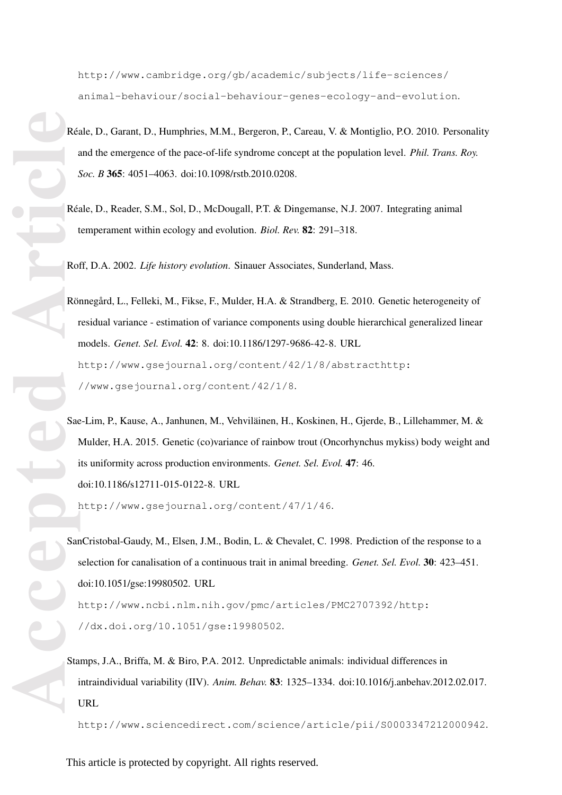http://www.cambridge.org/gb/academic/subjects/life-sciences/ animal-behaviour/social-behaviour-genes-ecology-and-evolution.

- Réale, D., Garant, D., Humphries, M.M., Bergeron, P., Careau, V. & Montiglio, P.O. 2010. Personality and the emergence of the pace-of-life syndrome concept at the population level. *Phil. Trans. Roy. Soc. B* 365: 4051–4063. doi:10.1098/rstb.2010.0208.
- Réale, D., Reader, S.M., Sol, D., McDougall, P.T. & Dingemanse, N.J. 2007. Integrating animal temperament within ecology and evolution. *Biol. Rev.* 82: 291–318.

Roff, D.A. 2002. *Life history evolution*. Sinauer Associates, Sunderland, Mass.

Rönnegård, L., Felleki, M., Fikse, F., Mulder, H.A. & Strandberg, E. 2010. Genetic heterogeneity of residual variance - estimation of variance components using double hierarchical generalized linear models. *Genet. Sel. Evol.* 42: 8. doi:10.1186/1297-9686-42-8. URL http://www.gsejournal.org/content/42/1/8/abstracthttp: //www.gsejournal.org/content/42/1/8.

Sae-Lim, P., Kause, A., Janhunen, M., Vehviläinen, H., Koskinen, H., Gjerde, B., Lillehammer, M. & Mulder, H.A. 2015. Genetic (co)variance of rainbow trout (Oncorhynchus mykiss) body weight and its uniformity across production environments. *Genet. Sel. Evol.* 47: 46. doi:10.1186/s12711-015-0122-8. URL

http://www.gsejournal.org/content/47/1/46.

Recepted Recepted Recepted Recepted Recepted Recepted Recepted Recepted Recepted Recepted Recepted Recepted Recepted Recepted Recepted Recepted Recepted Recepted Recepted Recepted Recepted Recepted Recepted Recepted Recept SanCristobal-Gaudy, M., Elsen, J.M., Bodin, L. & Chevalet, C. 1998. Prediction of the response to a selection for canalisation of a continuous trait in animal breeding. *Genet. Sel. Evol.* 30: 423–451. doi:10.1051/gse:19980502. URL http://www.ncbi.nlm.nih.gov/pmc/articles/PMC2707392/http: //dx.doi.org/10.1051/gse:19980502.

Stamps, J.A., Briffa, M. & Biro, P.A. 2012. Unpredictable animals: individual differences in intraindividual variability (IIV). *Anim. Behav.* 83: 1325–1334. doi:10.1016/j.anbehav.2012.02.017. URL

http://www.sciencedirect.com/science/article/pii/S0003347212000942.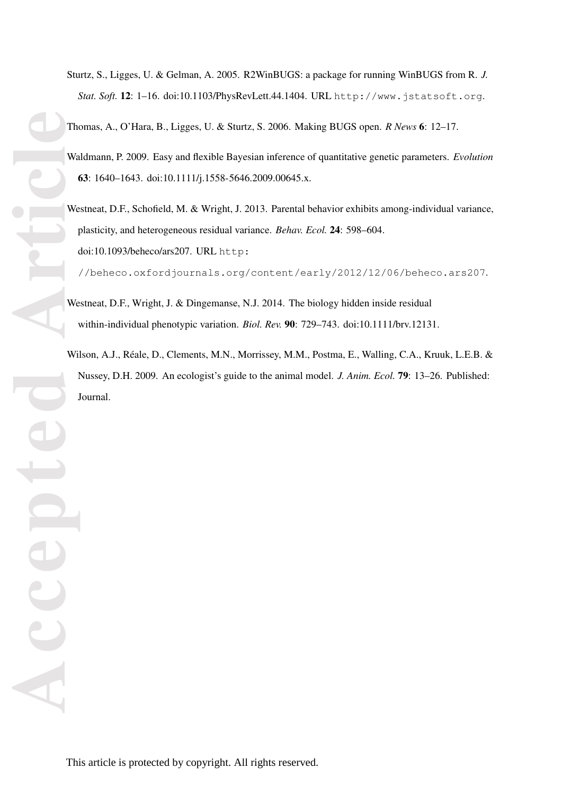Sturtz, S., Ligges, U. & Gelman, A. 2005. R2WinBUGS: a package for running WinBUGS from R. *J. Stat. Soft.* 12: 1–16. doi:10.1103/PhysRevLett.44.1404. URL http://www.jstatsoft.org.

Thomas, A., O'Hara, B., Ligges, U. & Sturtz, S. 2006. Making BUGS open. *R News* 6: 12–17.

- Waldmann, P. 2009. Easy and flexible Bayesian inference of quantitative genetic parameters. *Evolution* 63: 1640–1643. doi:10.1111/j.1558-5646.2009.00645.x.
- **Accepted Article** Westneat, D.F., Schofield, M. & Wright, J. 2013. Parental behavior exhibits among-individual variance, plasticity, and heterogeneous residual variance. *Behav. Ecol.* 24: 598–604. doi:10.1093/beheco/ars207. URL http:

//beheco.oxfordjournals.org/content/early/2012/12/06/beheco.ars207.

- Westneat, D.F., Wright, J. & Dingemanse, N.J. 2014. The biology hidden inside residual within-individual phenotypic variation. *Biol. Rev.* 90: 729–743. doi:10.1111/brv.12131.
- Wilson, A.J., Réale, D., Clements, M.N., Morrissey, M.M., Postma, E., Walling, C.A., Kruuk, L.E.B. & Nussey, D.H. 2009. An ecologist's guide to the animal model. *J. Anim. Ecol.* 79: 13–26. Published: Journal.

DIC

Acce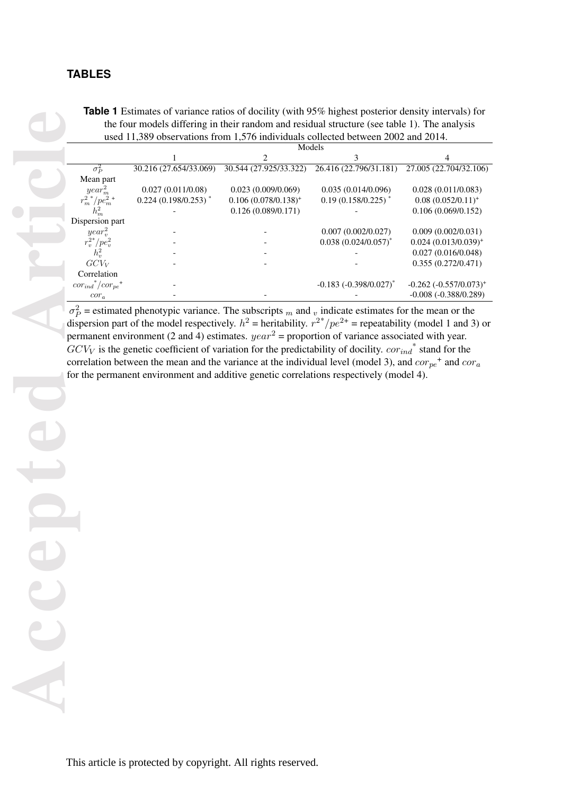**Table 1** Estimates of variance ratios of docility (with 95% highest posterior density intervals) for the four models differing in their random and residual structure (see table 1). The analysis used 11,389 observations from 1,576 individuals collected between 2002 and 2014.

|  |                                                                                              |                        |                         | T ESUMARS OF VALIANCE LANDS OF GOCHILY (WHIT 22 /C HIGHCSt POSICHOL GCHSILY MICHAEL) TOL                                          |                               |  |  |
|--|----------------------------------------------------------------------------------------------|------------------------|-------------------------|-----------------------------------------------------------------------------------------------------------------------------------|-------------------------------|--|--|
|  |                                                                                              |                        |                         |                                                                                                                                   |                               |  |  |
|  | the four models differing in their random and residual structure (see table 1). The analysis |                        |                         |                                                                                                                                   |                               |  |  |
|  | used 11,389 observations from 1,576 individuals collected between 2002 and 2014.<br>Models   |                        |                         |                                                                                                                                   |                               |  |  |
|  |                                                                                              |                        |                         |                                                                                                                                   |                               |  |  |
|  |                                                                                              |                        |                         |                                                                                                                                   |                               |  |  |
|  | $\sigma_P^2$                                                                                 | 30.216 (27.654/33.069) | 30.544 (27.925/33.322)  | 26.416 (22.796/31.181)                                                                                                            | 27.005 (22.704/32.106)        |  |  |
|  | Mean part                                                                                    |                        |                         |                                                                                                                                   |                               |  |  |
|  | year <sub>m</sub> <sup>2</sup>                                                               | 0.027(0.011/0.08)      | 0.023(0.009/0.069)      | 0.035(0.014/0.096)                                                                                                                | 0.028(0.011/0.083)            |  |  |
|  | $r_m^2$ / $pe_m^2$ +                                                                         | $0.224(0.198/0.253)$ * | $0.106 (0.078/0.138)^+$ | $0.19(0.158/0.225)$ <sup>*</sup>                                                                                                  | $0.08$ $(0.052/0.11)^+$       |  |  |
|  |                                                                                              |                        |                         |                                                                                                                                   |                               |  |  |
|  |                                                                                              |                        | 0.126(0.089/0.171)      |                                                                                                                                   | 0.106(0.069/0.152)            |  |  |
|  | Dispersion part                                                                              |                        |                         |                                                                                                                                   |                               |  |  |
|  | year <sub>v</sub> <sup>2</sup>                                                               |                        |                         | 0.007(0.002/0.027)                                                                                                                | 0.009(0.002/0.031)            |  |  |
|  | $r_v^{2*}/pe_v^2$                                                                            |                        |                         | $0.038$ $(0.024/0.057)$ <sup>*</sup>                                                                                              | $0.024$ $(0.013/0.039)^{+}$   |  |  |
|  | $h_v^2$                                                                                      |                        |                         |                                                                                                                                   | 0.027(0.016/0.048)            |  |  |
|  | GCV <sub>V</sub>                                                                             |                        |                         |                                                                                                                                   | 0.355(0.272/0.471)            |  |  |
|  | Correlation                                                                                  |                        |                         |                                                                                                                                   |                               |  |  |
|  |                                                                                              |                        |                         |                                                                                                                                   |                               |  |  |
|  | $cor_{ind}^*/cor_{pe}^+$                                                                     |                        |                         | $-0.183 (-0.398/0.027)^{*}$                                                                                                       | $-0.262$ $(-0.557/0.073)^{+}$ |  |  |
|  | $cor_a$                                                                                      |                        |                         |                                                                                                                                   | $-0.008 (-0.388/0.289)$       |  |  |
|  |                                                                                              |                        |                         | $\sigma_P^2$ = estimated phenotypic variance. The subscripts <sub>m</sub> and <sub>v</sub> indicate estimates for the mean or the |                               |  |  |
|  |                                                                                              |                        |                         |                                                                                                                                   |                               |  |  |
|  |                                                                                              |                        |                         | dispersion part of the model respectively. $h^2$ = heritability. $r^{2*}/pe^{2+}$ = repeatability (model 1 and 3) or              |                               |  |  |
|  |                                                                                              |                        |                         | permanent environment (2 and 4) estimates. $year2 = proportion of variance associated with year.$                                 |                               |  |  |
|  |                                                                                              |                        |                         |                                                                                                                                   |                               |  |  |
|  |                                                                                              |                        |                         | $GCV_V$ is the genetic coefficient of variation for the predictability of docility. $cor_{ind}^*$ stand for the                   |                               |  |  |
|  |                                                                                              |                        |                         | correlation between the mean and the variance at the individual level (model 3), and $cor_{pe}^+$ and $cor_a$                     |                               |  |  |
|  |                                                                                              |                        |                         | for the permanent environment and additive genetic correlations respectively (model 4).                                           |                               |  |  |
|  |                                                                                              |                        |                         |                                                                                                                                   |                               |  |  |
|  |                                                                                              |                        |                         |                                                                                                                                   |                               |  |  |
|  |                                                                                              |                        |                         |                                                                                                                                   |                               |  |  |
|  |                                                                                              |                        |                         |                                                                                                                                   |                               |  |  |
|  |                                                                                              |                        |                         |                                                                                                                                   |                               |  |  |
|  |                                                                                              |                        |                         |                                                                                                                                   |                               |  |  |
|  |                                                                                              |                        |                         |                                                                                                                                   |                               |  |  |
|  |                                                                                              |                        |                         |                                                                                                                                   |                               |  |  |
|  |                                                                                              |                        |                         |                                                                                                                                   |                               |  |  |
|  |                                                                                              |                        |                         |                                                                                                                                   |                               |  |  |
|  |                                                                                              |                        |                         |                                                                                                                                   |                               |  |  |
|  |                                                                                              |                        |                         |                                                                                                                                   |                               |  |  |
|  |                                                                                              |                        |                         |                                                                                                                                   |                               |  |  |
|  |                                                                                              |                        |                         |                                                                                                                                   |                               |  |  |
|  |                                                                                              |                        |                         |                                                                                                                                   |                               |  |  |
|  |                                                                                              |                        |                         |                                                                                                                                   |                               |  |  |
|  |                                                                                              |                        |                         |                                                                                                                                   |                               |  |  |
|  |                                                                                              |                        |                         |                                                                                                                                   |                               |  |  |
|  |                                                                                              |                        |                         |                                                                                                                                   |                               |  |  |
|  |                                                                                              |                        |                         |                                                                                                                                   |                               |  |  |
|  |                                                                                              |                        |                         |                                                                                                                                   |                               |  |  |
|  |                                                                                              |                        |                         |                                                                                                                                   |                               |  |  |
|  |                                                                                              |                        |                         |                                                                                                                                   |                               |  |  |
|  |                                                                                              |                        |                         |                                                                                                                                   |                               |  |  |
|  |                                                                                              |                        |                         |                                                                                                                                   |                               |  |  |
|  |                                                                                              |                        |                         |                                                                                                                                   |                               |  |  |
|  |                                                                                              |                        |                         |                                                                                                                                   |                               |  |  |
|  |                                                                                              |                        |                         |                                                                                                                                   |                               |  |  |
|  |                                                                                              |                        |                         |                                                                                                                                   |                               |  |  |
|  |                                                                                              |                        |                         |                                                                                                                                   |                               |  |  |
|  |                                                                                              |                        |                         |                                                                                                                                   |                               |  |  |
|  |                                                                                              |                        |                         |                                                                                                                                   |                               |  |  |
|  |                                                                                              |                        |                         |                                                                                                                                   |                               |  |  |
|  |                                                                                              |                        |                         |                                                                                                                                   |                               |  |  |
|  |                                                                                              |                        |                         |                                                                                                                                   |                               |  |  |
|  |                                                                                              |                        |                         |                                                                                                                                   |                               |  |  |
|  |                                                                                              |                        |                         |                                                                                                                                   |                               |  |  |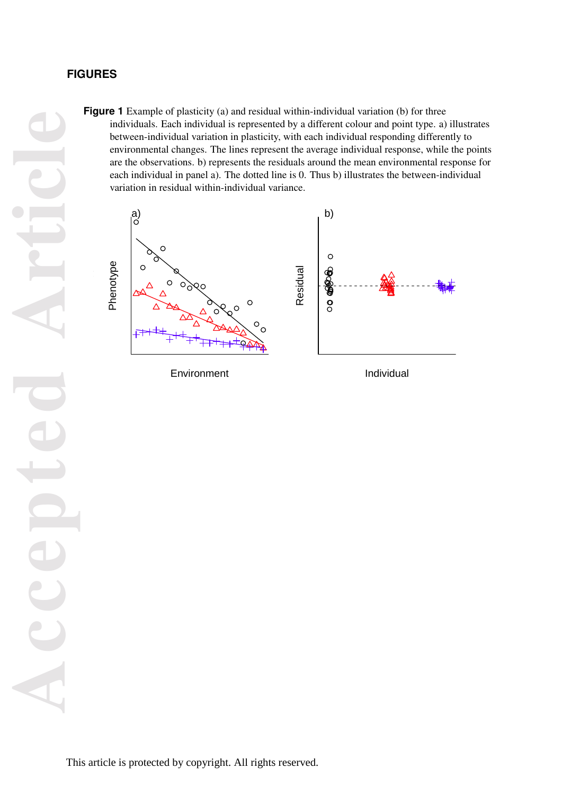# **FIGURES**

**Figure 1** Example of plasticity (a) and residual within-individual variation (b) for three individuals. Each individual is represented by a different colour and point type. a) illustrates between-individual variation in plasticity, with each individual responding differently to environmental changes. The lines represent the average individual response, while the points are the observations. b) represents the residuals around the mean environmental response for each individual in panel a). The dotted line is 0. Thus b) illustrates the between-individual variation in residual within-individual variance.



Environment

Individual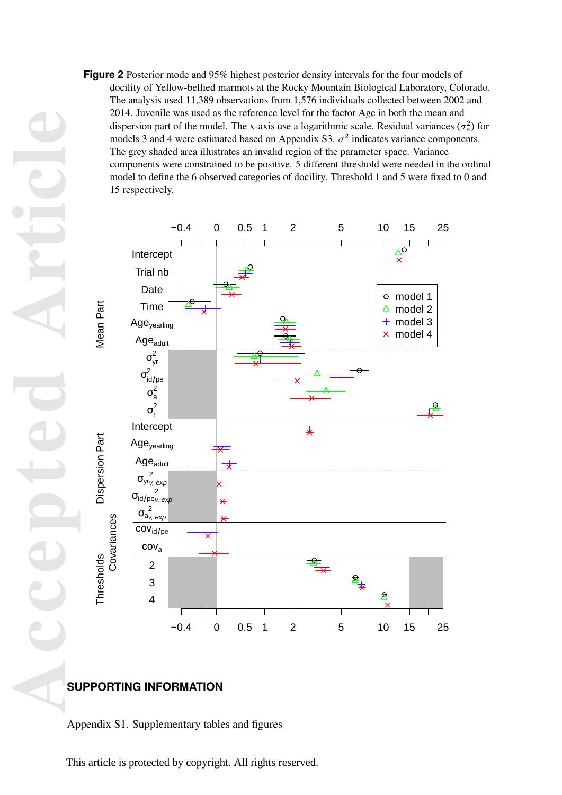**Figure 2** Posterior mode and 95% highest posterior density intervals for the four models of docility of Yellow-bellied marmots at the Rocky Mountain Biological Laboratory, Colorado. The analysis used 11,389 observations from 1,576 individuals collected between 2002 and 2014. Juvenile was used as the reference level for the factor Age in both the mean and dispersion part of the model. The x-axis use a logarithmic scale. Residual variances  $(\sigma_e^2)$  for models 3 and 4 were estimated based on Appendix S3.  $\sigma^2$  indicates variance components. The grey shaded area illustrates an invalid region of the parameter space. Variance components were constrained to be positive. 5 different threshold were needed in the ordinal model to define the 6 observed categories of docility. Threshold 1 and 5 were fixed to 0 and 15 respectively.



# **SUPPORTING INFORMATION**